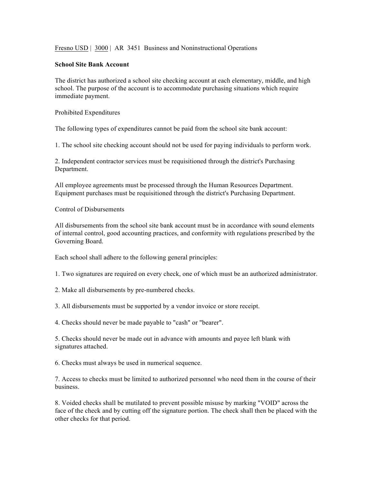Fresno USD | 3000 | AR 3451 Business and Noninstructional Operations

## **School Site Bank Account**

The district has authorized a school site checking account at each elementary, middle, and high school. The purpose of the account is to accommodate purchasing situations which require immediate payment.

Prohibited Expenditures

The following types of expenditures cannot be paid from the school site bank account:

1. The school site checking account should not be used for paying individuals to perform work.

2. Independent contractor services must be requisitioned through the district's Purchasing Department.

All employee agreements must be processed through the Human Resources Department. Equipment purchases must be requisitioned through the district's Purchasing Department.

Control of Disbursements

All disbursements from the school site bank account must be in accordance with sound elements of internal control, good accounting practices, and conformity with regulations prescribed by the Governing Board.

Each school shall adhere to the following general principles:

1. Two signatures are required on every check, one of which must be an authorized administrator.

2. Make all disbursements by pre-numbered checks.

3. All disbursements must be supported by a vendor invoice or store receipt.

4. Checks should never be made payable to "cash" or "bearer".

5. Checks should never be made out in advance with amounts and payee left blank with signatures attached.

6. Checks must always be used in numerical sequence.

7. Access to checks must be limited to authorized personnel who need them in the course of their business.

8. Voided checks shall be mutilated to prevent possible misuse by marking "VOID" across the face of the check and by cutting off the signature portion. The check shall then be placed with the other checks for that period.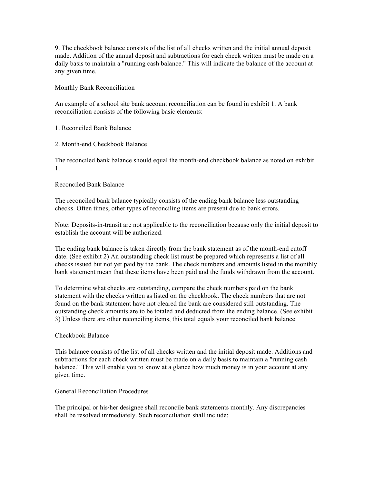9. The checkbook balance consists of the list of all checks written and the initial annual deposit made. Addition of the annual deposit and subtractions for each check written must be made on a daily basis to maintain a "running cash balance." This will indicate the balance of the account at any given time.

Monthly Bank Reconciliation

An example of a school site bank account reconciliation can be found in exhibit 1. A bank reconciliation consists of the following basic elements:

1. Reconciled Bank Balance

2. Month-end Checkbook Balance

The reconciled bank balance should equal the month-end checkbook balance as noted on exhibit 1.

Reconciled Bank Balance

The reconciled bank balance typically consists of the ending bank balance less outstanding checks. Often times, other types of reconciling items are present due to bank errors.

Note: Deposits-in-transit are not applicable to the reconciliation because only the initial deposit to establish the account will be authorized.

The ending bank balance is taken directly from the bank statement as of the month-end cutoff date. (See exhibit 2) An outstanding check list must be prepared which represents a list of all checks issued but not yet paid by the bank. The check numbers and amounts listed in the monthly bank statement mean that these items have been paid and the funds withdrawn from the account.

To determine what checks are outstanding, compare the check numbers paid on the bank statement with the checks written as listed on the checkbook. The check numbers that are not found on the bank statement have not cleared the bank are considered still outstanding. The outstanding check amounts are to be totaled and deducted from the ending balance. (See exhibit 3) Unless there are other reconciling items, this total equals your reconciled bank balance.

## Checkbook Balance

This balance consists of the list of all checks written and the initial deposit made. Additions and subtractions for each check written must be made on a daily basis to maintain a "running cash balance." This will enable you to know at a glance how much money is in your account at any given time.

## General Reconciliation Procedures

The principal or his/her designee shall reconcile bank statements monthly. Any discrepancies shall be resolved immediately. Such reconciliation shall include: